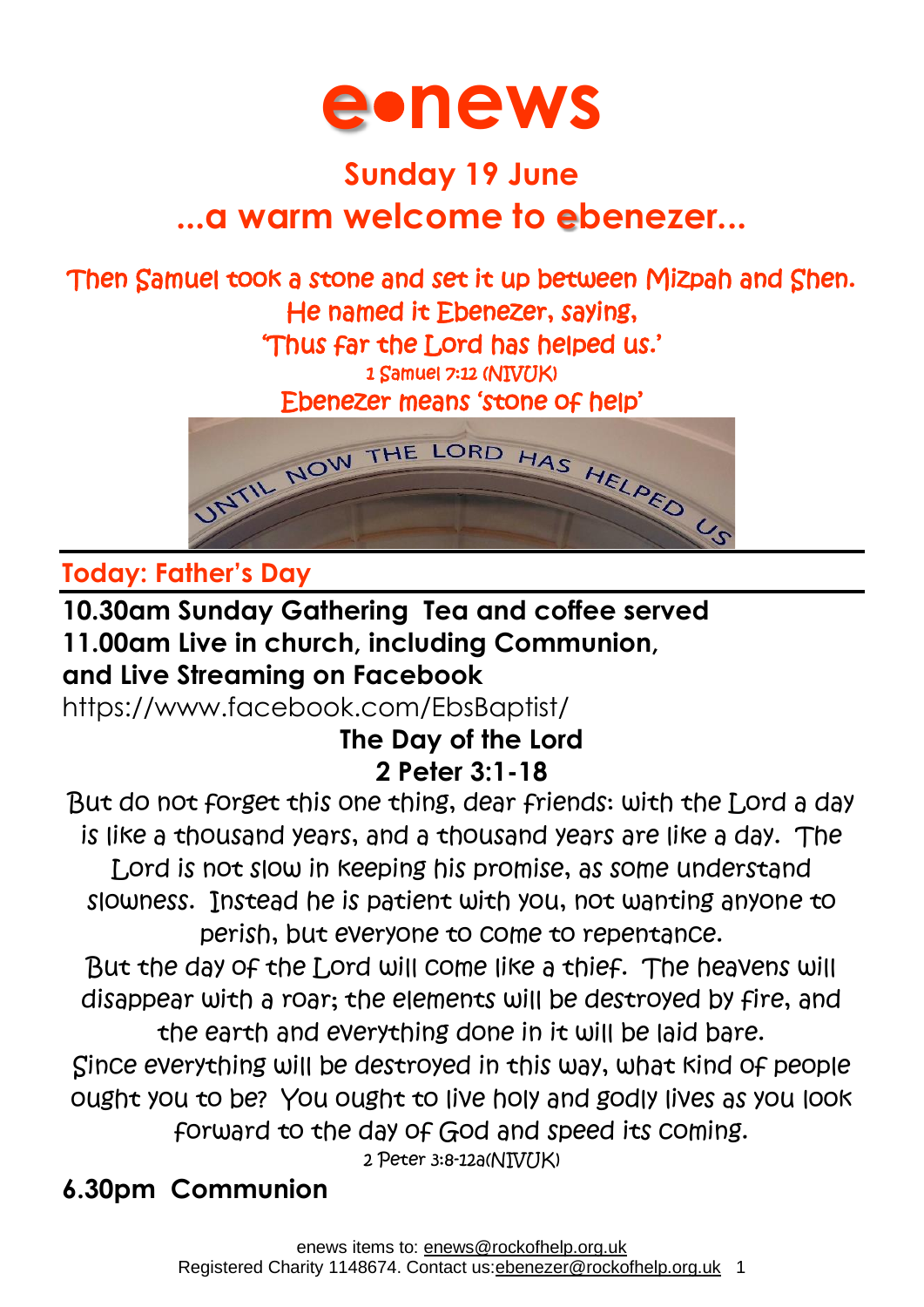

# **Sunday 19 June ...a warm welcome to ebenezer...**

## Then Samuel took a stone and set it up between Mizpah and Shen. He named it Ebenezer, saying, 'Thus far the Lord has helped us.'

1 Samuel 7:12 (NIVUK)

Ebenezer means 'stone of help'



## **Today: Father's Day**

#### **10.30am Sunday Gathering Tea and coffee served 11.00am Live in church, including Communion, and Live Streaming on Facebook**

<https://www.facebook.com/EbsBaptist/>

### **The Day of the Lord 2 Peter 3:1-18**

But do not forget this one thing, dear friends: with the Lord a day is like a thousand years, and a thousand years are like a day. The Lord is not slow in keeping his promise, as some understand slowness. Instead he is patient with you, not wanting anyone to perish, but everyone to come to repentance. But the day of the Lord will come like a thief. The heavens will disappear with a roar; the elements will be destroyed by fire, and

the earth and everything done in it will be laid bare. Since everything will be destroyed in this way, what kind of people ought you to be? You ought to live holy and godly lives as you look forward to the day of God and speed its coming.

2 Peter 3:8-12a(NIV/JK)

# **6.30pm Communion**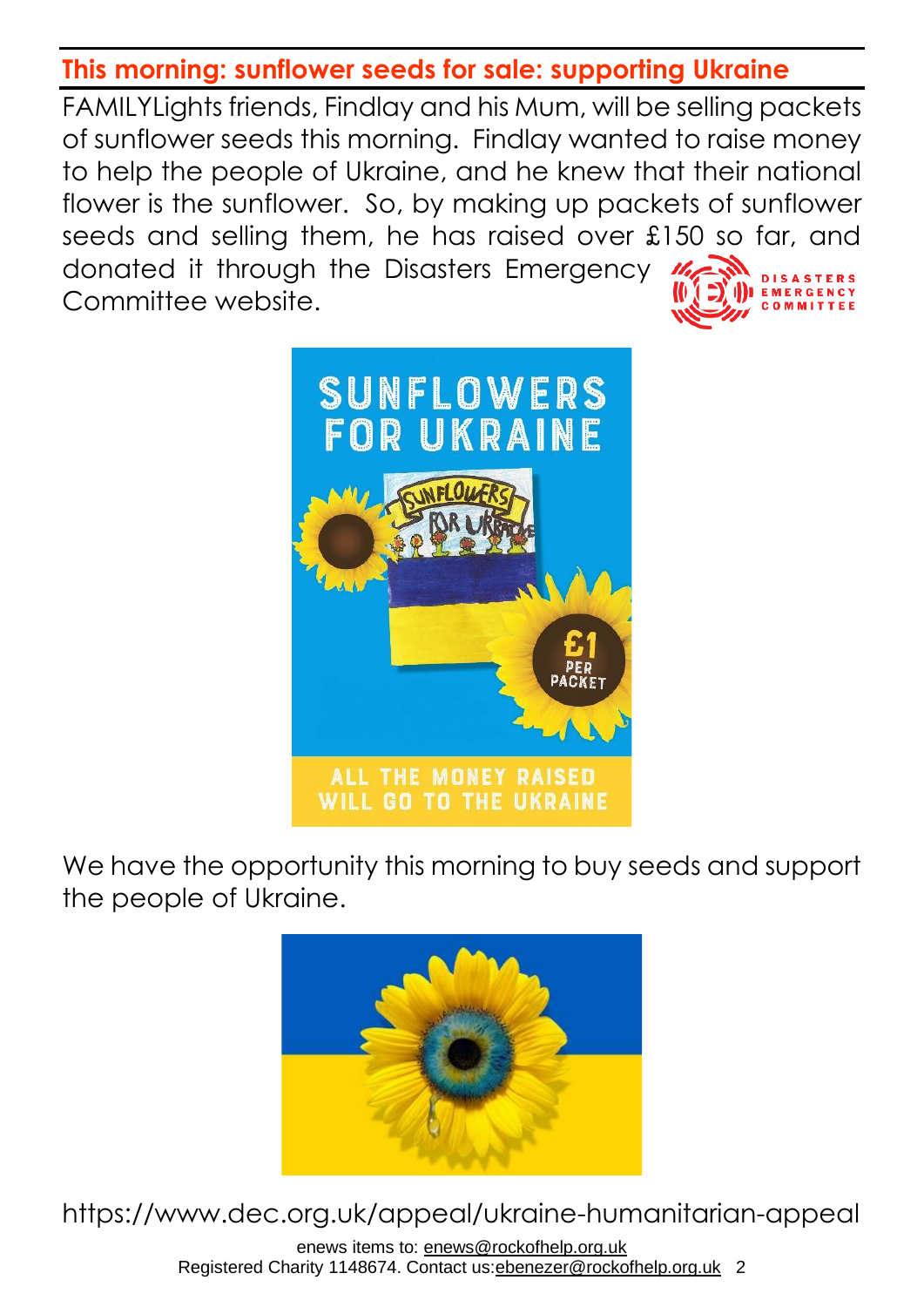#### **This morning: sunflower seeds for sale: supporting Ukraine**

FAMILYLights friends, Findlay and his Mum, will be selling packets of sunflower seeds this morning. Findlay wanted to raise money to help the people of Ukraine, and he knew that their national flower is the sunflower. So, by making up packets of sunflower seeds and selling them, he has raised over £150 so far, and donated it through the Disasters Emergency  $\frac{M_{\gamma}}{2}$ Committee website.



We have the opportunity this morning to buy seeds and support the people of Ukraine.



https://www.dec.org.uk/appeal/ukraine-humanitarian-appeal

enews items to: [enews@rockofhelp.org.uk](mailto:enews@rockofhelp.org.uk) Registered Charity 1148674. Contact us: ebenezer@rockofhelp.org.uk 2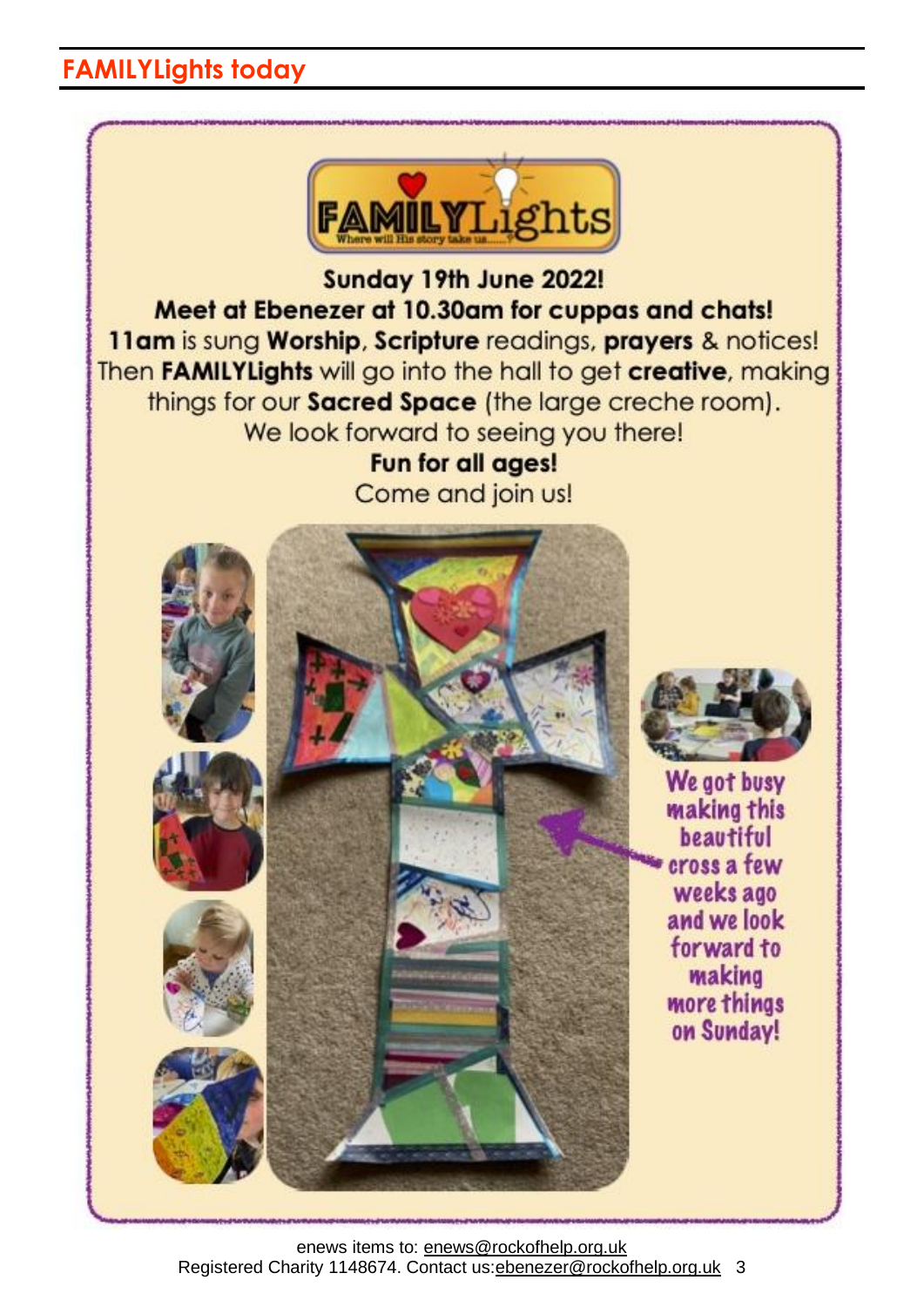## **FAMILYLights today**



enews items to: [enews@rockofhelp.org.uk](mailto:enews@rockofhelp.org.uk) Registered Charity 1148674. Contact us:ebenezer@rockofhelp.org.uk 3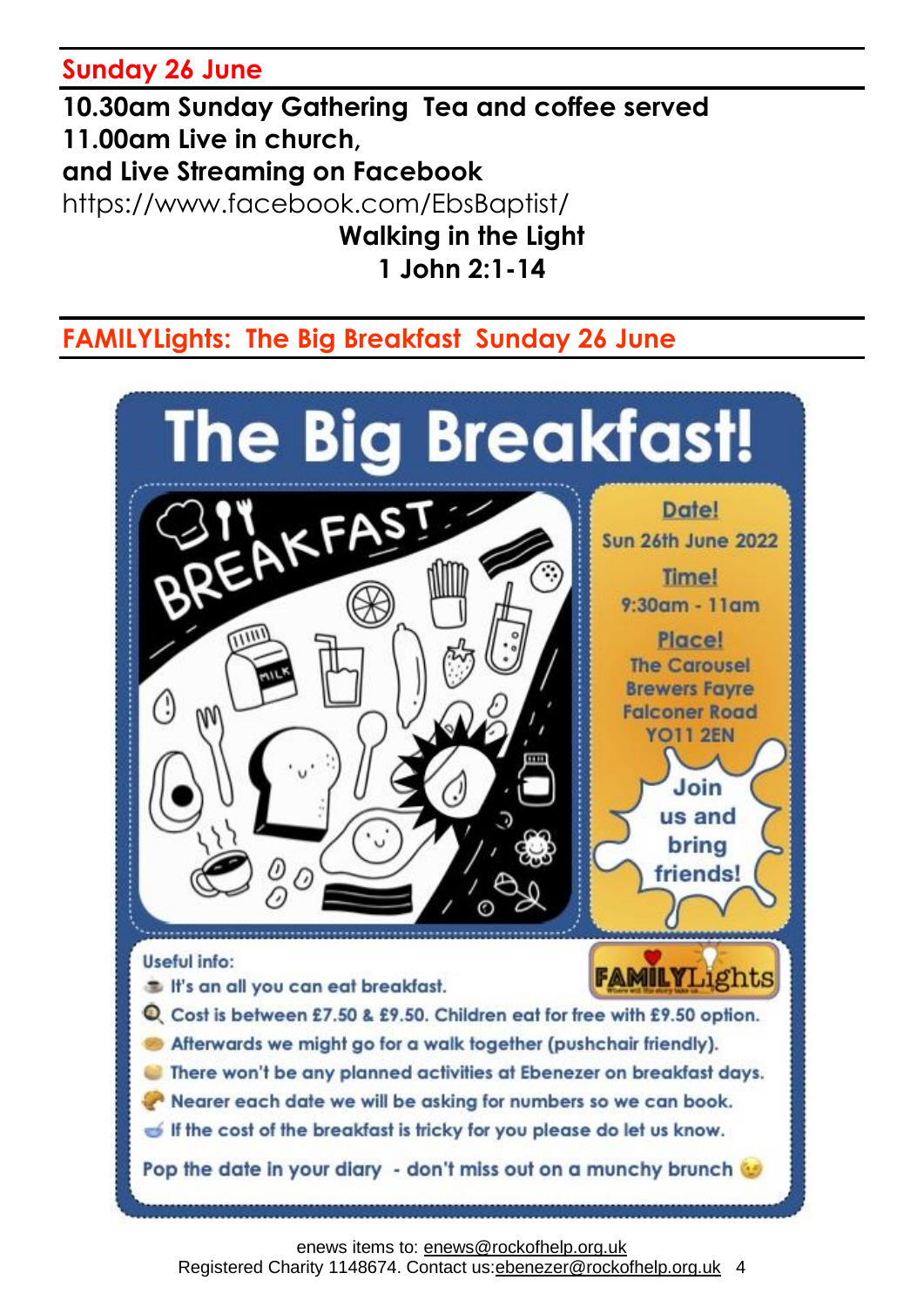**Sunday 26 June**

**10.30am Sunday Gathering Tea and coffee served 11.00am Live in church, and Live Streaming on Facebook** <https://www.facebook.com/EbsBaptist/> **Walking in the Light 1 John 2:1-14**

### **FAMILYLights: The Big Breakfast Sunday 26 June**

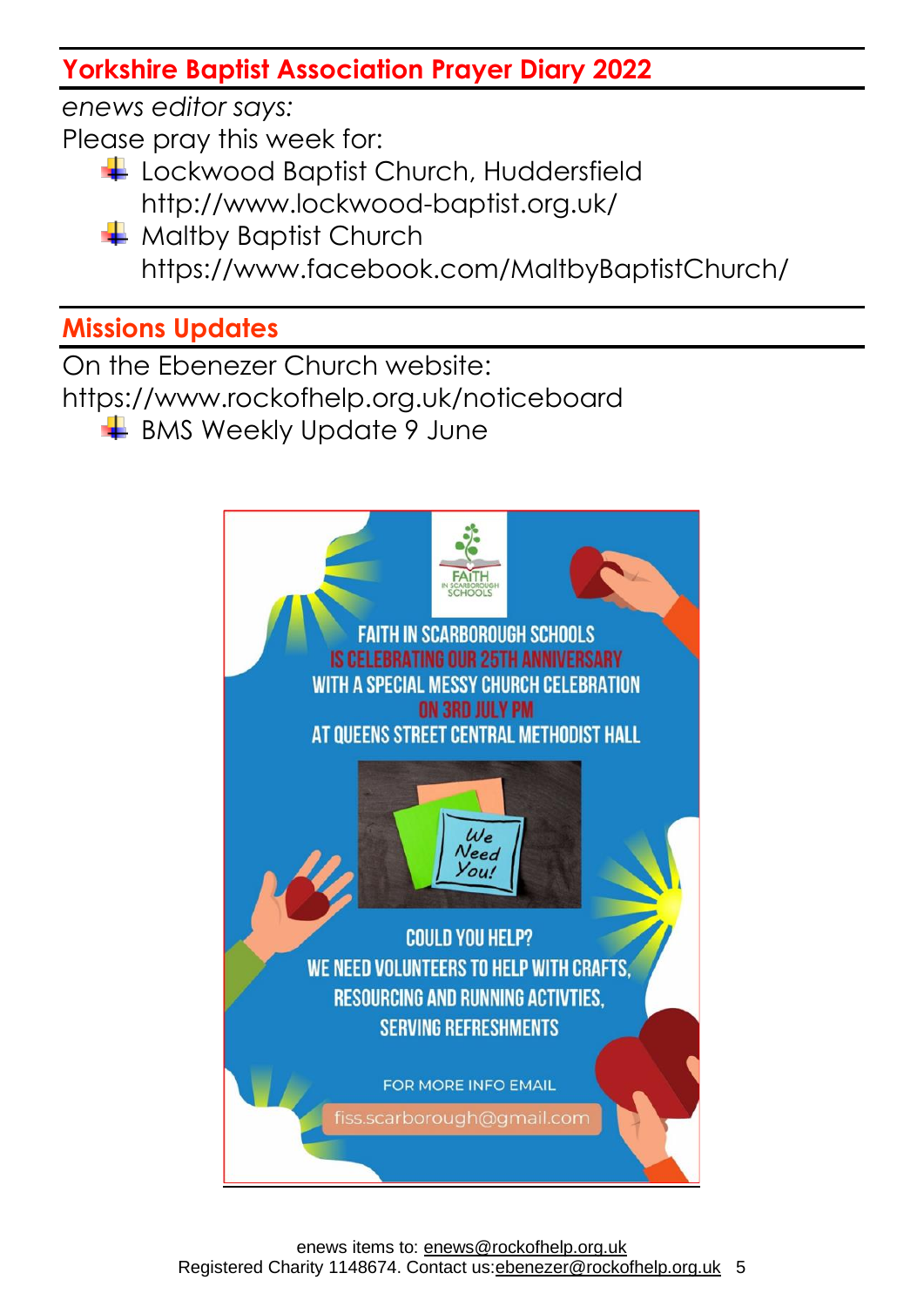## **Yorkshire Baptist Association Prayer Diary 2022**

*enews editor says:* Please pray this week for:

- Lockwood Baptist Church, Huddersfield http://www.lockwood-baptist.org.uk/
- $\frac{1}{2}$  Maltby Baptist Church <https://www.facebook.com/MaltbyBaptistChurch/>

# **Missions Updates**

On the Ebenezer Church website: <https://www.rockofhelp.org.uk/noticeboard>

 $\frac{1}{2}$  BMS Weekly Update 9 June

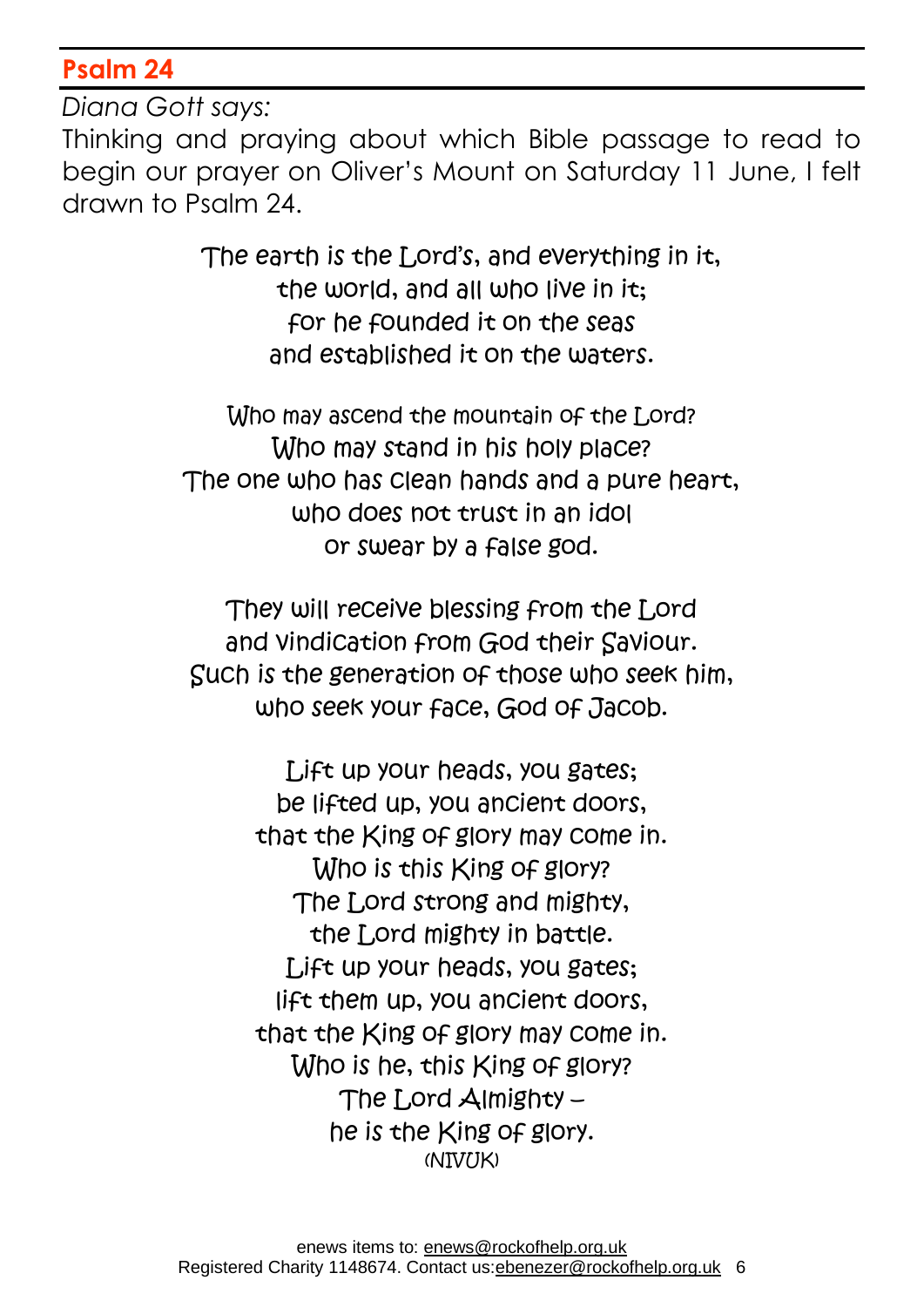#### **Psalm 24**

*Diana Gott says:*

Thinking and praying about which Bible passage to read to begin our prayer on Oliver's Mount on Saturday 11 June, I felt drawn to Psalm 24.

> The earth is the Lord's, and everything in it, the world, and all who live in it: for he founded it on the seas and established it on the waters.

Who may ascend the mountain of the Lord? Who may stand in his holy place? The one who has clean hands and a pure heart, who does not trust in an idol or swear by a false god.

They will receive blessing from the Lord and vindication from God their Saviour. Such is the generation of those who seek him, who seek your face, God of Jacob.

> Lift up your heads, you gates; be lifted up, you ancient doors, that the King of glory may come in. Who is this King of glory? The Lord strong and mighty, the Lord mighty in battle. Lift up your heads, you gates; lift them up, you ancient doors, that the King of glory may come in. Who is he, this King of glory? The Lord Almighty  $$ he is the King of glory. (NIVUK)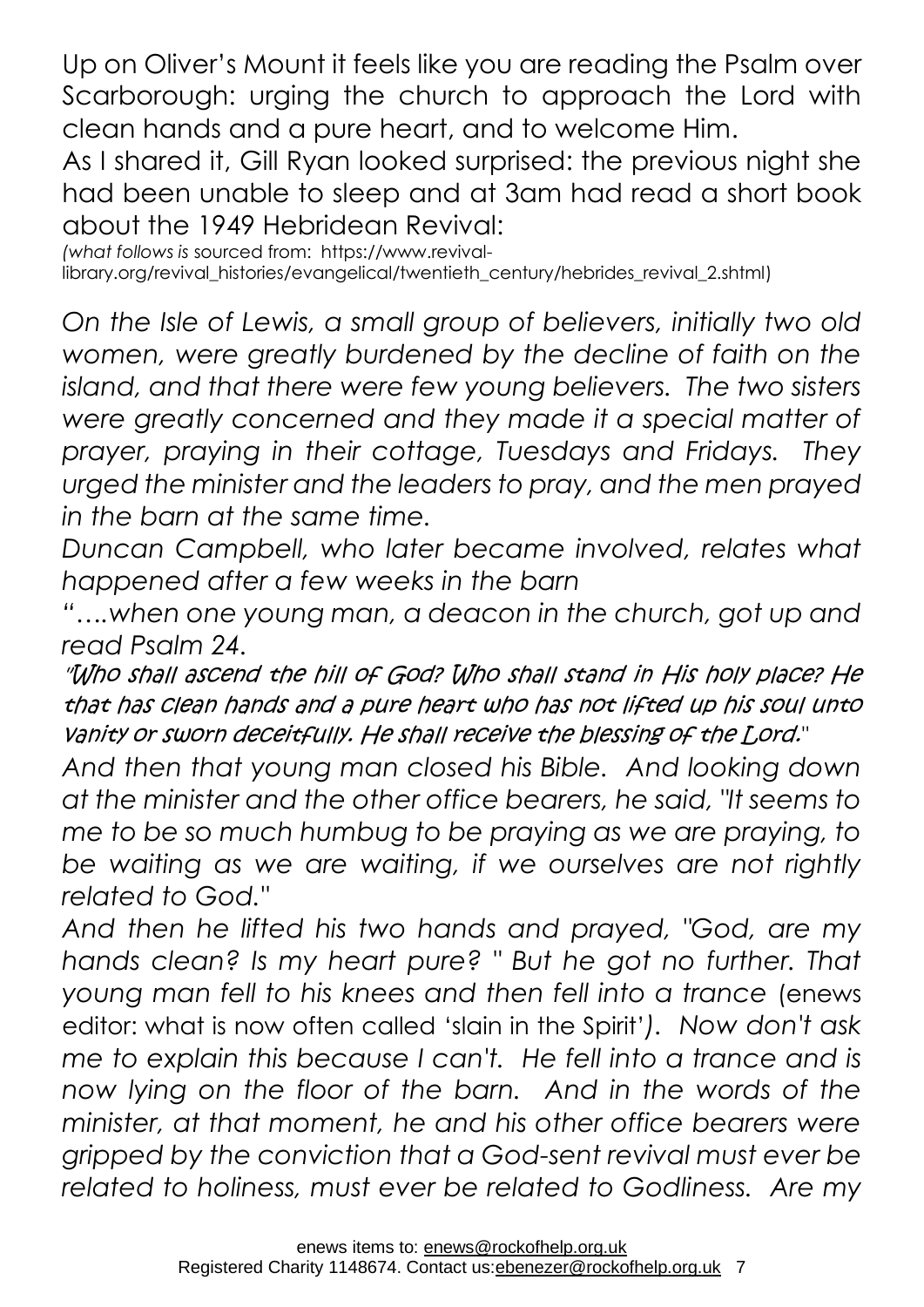Up on Oliver's Mount it feels like you are reading the Psalm over Scarborough: urging the church to approach the Lord with clean hands and a pure heart, and to welcome Him.

As I shared it, Gill Ryan looked surprised: the previous night she had been unable to sleep and at 3am had read a short book about the 1949 Hebridean Revival:

*(what follows is* sourced from: [https://www.revival](https://www.revival-/)library.org/revival\_histories/evangelical/twentieth\_century/hebrides\_revival\_2.shtml)

*On the Isle of Lewis, a small group of believers, initially two old women, were greatly burdened by the decline of faith on the island, and that there were few young believers. The two sisters were greatly concerned and they made it a special matter of prayer, praying in their cottage, Tuesdays and Fridays. They urged the minister and the leaders to pray, and the men prayed in the barn at the same time.*

*Duncan Campbell, who later became involved, relates what happened after a few weeks in the barn*

*"….when one young man, a deacon in the church, got up and read Psalm 24.*

"Who shall ascend the hill of God? Who shall stand in His holy place? He that has clean hands and a pure heart who has not lifted up his soul unto vanity or sworn deceitfully. He shall receive the blessing of the Lord.*"*

*And then that young man closed his Bible. And looking down at the minister and the other office bearers, he said, "It seems to me to be so much humbug to be praying as we are praying, to be waiting as we are waiting, if we ourselves are not rightly related to God."*

*And then he lifted his two hands and prayed, "God, are my hands clean? Is my heart pure? " But he got no further. That young man fell to his knees and then fell into a trance* (enews editor: what is now often called 'slain in the Spirit'*). Now don't ask me to explain this because I can't. He fell into a trance and is now lying on the floor of the barn. And in the words of the minister, at that moment, he and his other office bearers were gripped by the conviction that a God-sent revival must ever be related to holiness, must ever be related to Godliness. Are my*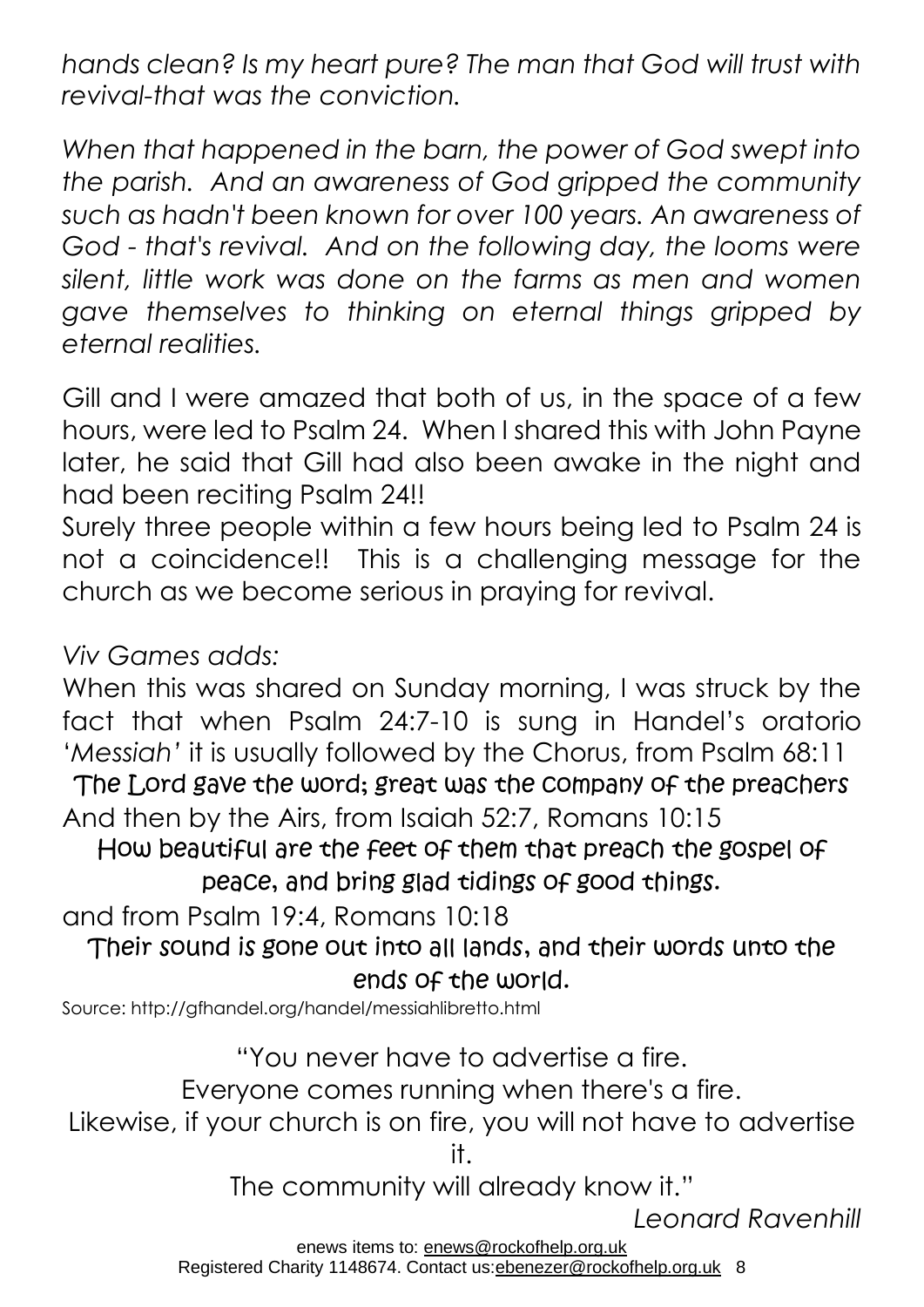*hands clean? Is my heart pure? The man that God will trust with revival-that was the conviction.*

*When that happened in the barn, the power of God swept into the parish. And an awareness of God gripped the community such as hadn't been known for over 100 years. An awareness of God - that's revival. And on the following day, the looms were silent, little work was done on the farms as men and women gave themselves to thinking on eternal things gripped by eternal realities.*

Gill and I were amazed that both of us, in the space of a few hours, were led to Psalm 24. When I shared this with John Payne later, he said that Gill had also been awake in the night and had been reciting Psalm 24!!

Surely three people within a few hours being led to Psalm 24 is not a coincidence!! This is a challenging message for the church as we become serious in praying for revival.

*Viv Games adds:*

When this was shared on Sunday morning, I was struck by the fact that when Psalm 24:7-10 is sung in Handel's oratorio '*Messiah'* it is usually followed by the Chorus, from Psalm 68:11 The Lord gave the word; great was the company of the preachers

And then by the Airs, from Isaiah 52:7, Romans 10:15

How beautiful are the feet of them that preach the gospel of peace, and bring glad tidings of good things.

and from Psalm 19:4, Romans 10:18

Their sound is gone out into all lands, and their words unto the ends of the world.

Source[: http://gfhandel.org/handel/messiahlibretto.html](http://gfhandel.org/handel/messiahlibretto.html)

"You never have to advertise a fire.

Everyone comes running when there's a fire.

Likewise, if your church is on fire, you will not have to advertise it.

The community will already know it."

*Leonard Ravenhill*

enews items to: [enews@rockofhelp.org.uk](mailto:enews@rockofhelp.org.uk)

Registered Charity 1148674. Contact us: ebenezer@rockofhelp.org.uk 8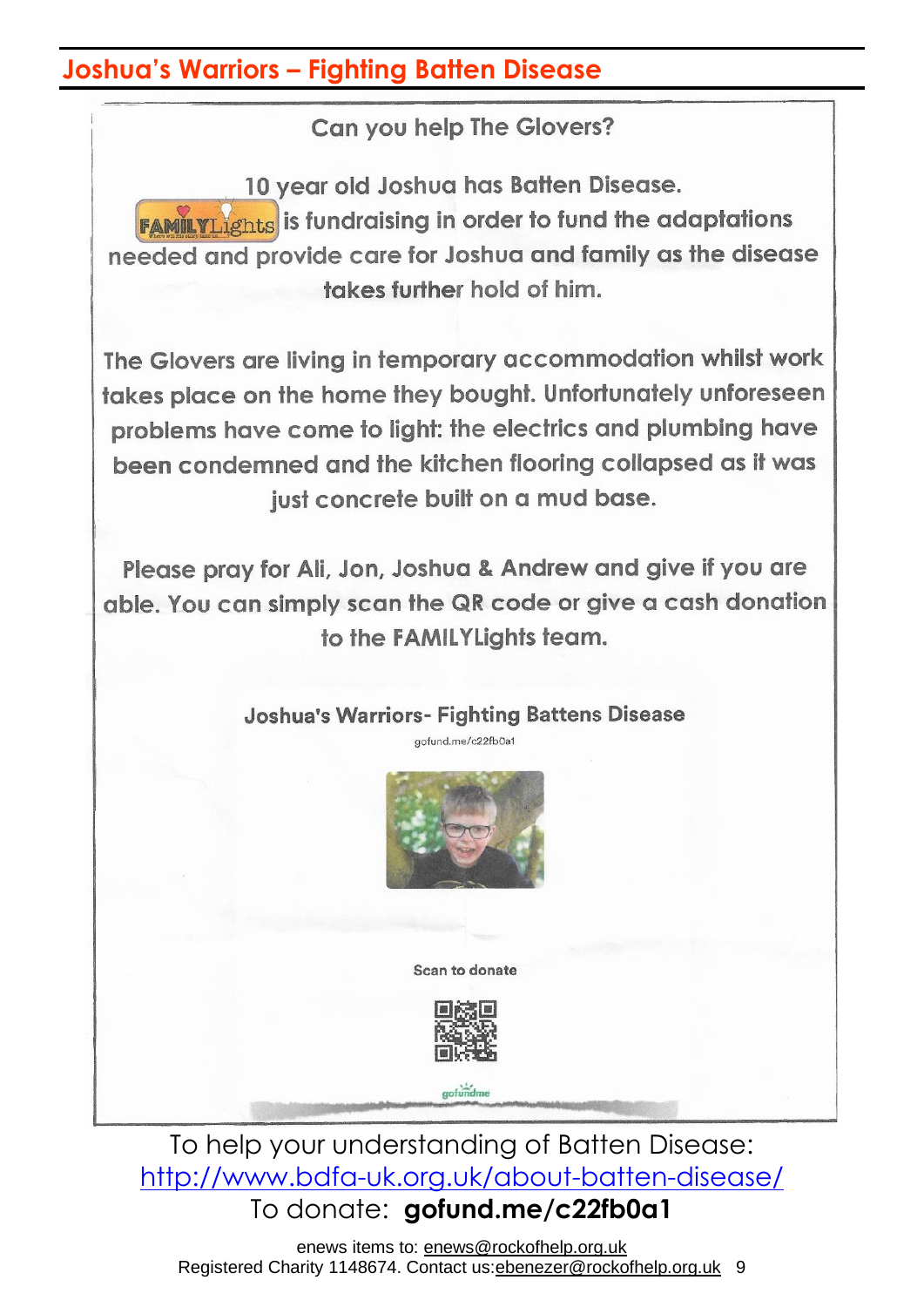#### **Joshua's Warriors – Fighting Batten Disease**

Can you help The Glovers?

10 year old Joshua has Batten Disease. **FAMILYLIghts** is fundraising in order to fund the adaptations needed and provide care for Joshua and family as the disease takes further hold of him.

The Glovers are living in temporary accommodation whilst work takes place on the home they bought. Unfortunately unforeseen problems have come to light; the electrics and plumbing have been condemned and the kitchen flooring collapsed as it was just concrete built on a mud base.

Please pray for Ali, Jon, Joshua & Andrew and give if you are able. You can simply scan the QR code or give a cash donation to the FAMILYLights team.

#### **Joshua's Warriors- Fighting Battens Disease** aofund.me/c22fb0a1



Scan to donate



gofundme

To help your understanding of Batten Disease: <http://www.bdfa-uk.org.uk/about-batten-disease/> To donate: **gofund.me/c22fb0a1**

enews items to: [enews@rockofhelp.org.uk](mailto:enews@rockofhelp.org.uk) Registered Charity 1148674. Contact us:ebenezer@rockofhelp.org.uk 9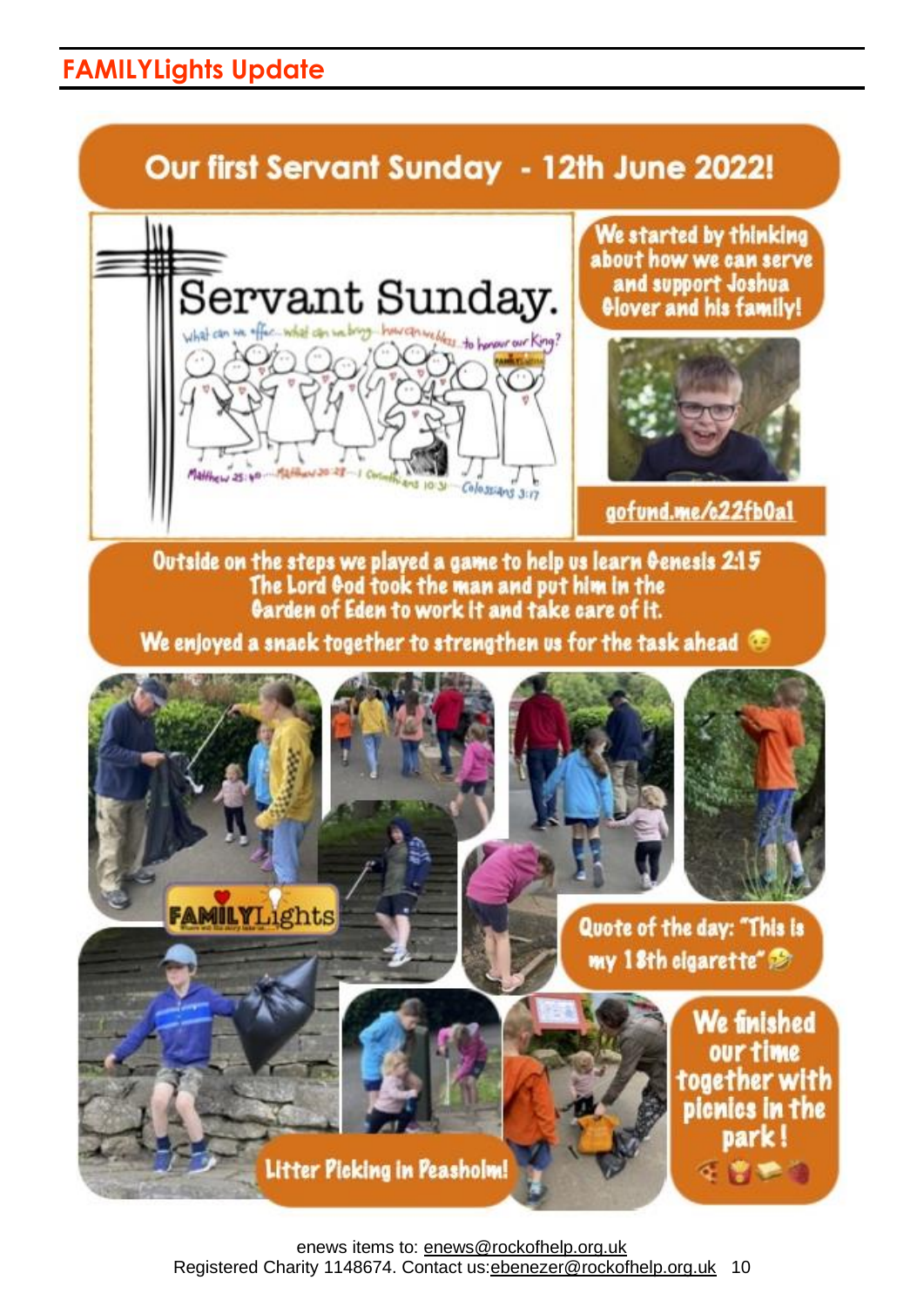## **FAMILYLights Update**

# Our first Servant Sunday - 12th June 2022!



We started by thinking about how we can serve and support Joshua **Olover and his family!** 



aofund.me/c22fb0al

Outside on the steps we played a game to help us learn Genesis 2:15 The Lord God took the man and put him in the Garden of Eden to work It and take care of It.

We enjoyed a snack together to strengthen us for the task ahead



enews items to: [enews@rockofhelp.org.uk](mailto:enews@rockofhelp.org.uk) Registered Charity 1148674. Contact us: ebenezer@rockofhelp.org.uk 10